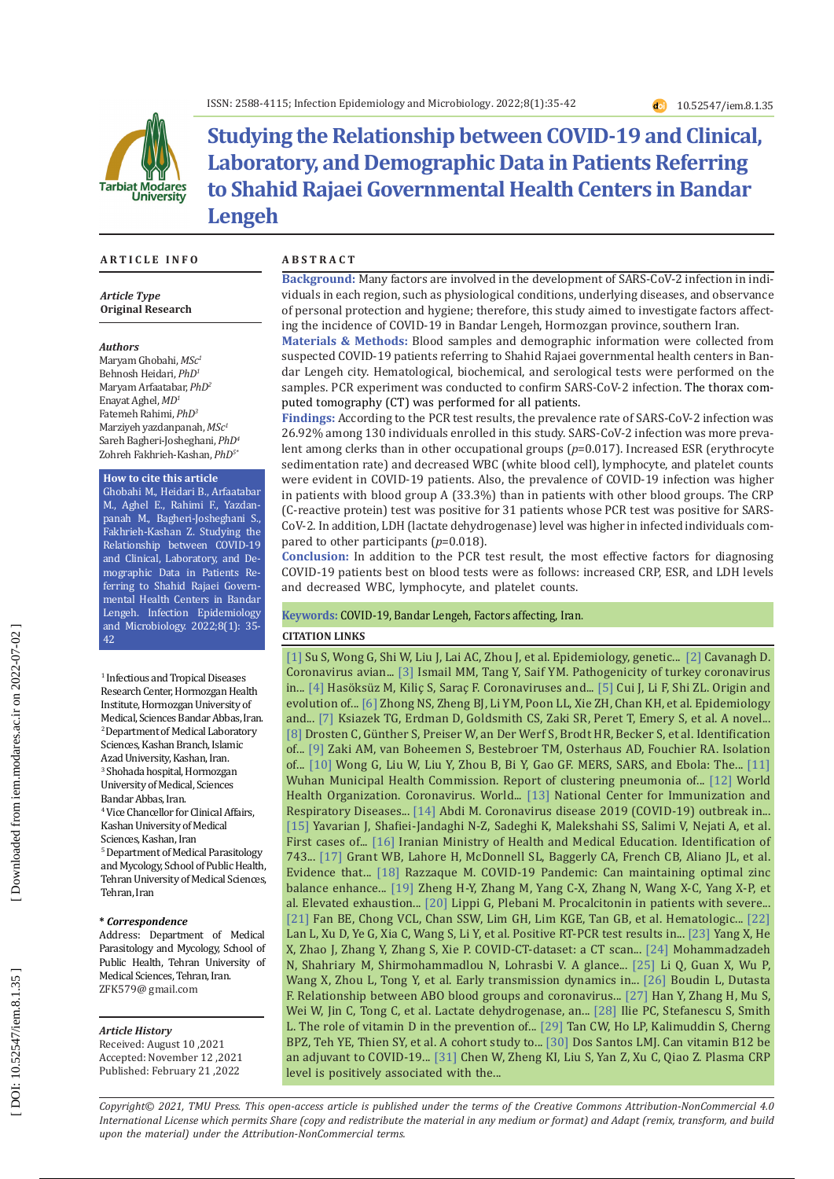

# **Studying the Relationship between COVID-19 and Clinical, Laboratory, and Demographic Data in Patients Referring to Shahid Rajaei Governmental Health Centers in Bandar Lengeh**

#### **A R T I C L E I N F O A B S T R A C T**

*Article Type* **Original Research**

#### *Authors*

Maryam Ghobahi, *MSc 1* Behnosh Heidari, *PhD 1* Maryam Arfaatabar, *PhD2* Enayat Aghel, *MD 1* Fatemeh Rahimi, *PhD 3* Marziyeh yazdanpanah, *MSc 1* Sareh Bagheri-Josheghani, *PhD 4* Zohreh Fakhrieh-Kashan, *PhD 5 \**

#### **How to cite this article**

Ghobahi M., Heidari B., Arfaatabar M., Aghel E., Rahimi F., Yazdan panah M., Bagheri-Josheghani S., Fakhrieh-Kashan Z. Studying the Relationship between COVID-19 and Clinical, Laboratory, and De mographic Data in Patients Re ferring to Shahid Rajaei Govern mental Health Centers in Bandar Lengeh. Infection Epidemiology and Microbiology. 2022;8(1): 35- 42

1 Infectious and Tropical Diseases Research Center, Hormozgan Health Institute, Hormozgan University of Medical, Sciences Bandar Abbas, Iran. 2 Department of Medical Laboratory Sciences, Kashan Branch, Islamic Azad University, Kashan, Iran. 3 Shohada hospital, Hormozgan University of Medical, Sciences Bandar Abbas, Iran. 4 Vice Chancellor for Clinical Affairs, Kashan University of Medical Sciences, Kashan, Iran 5 Department of Medical Parasitology and Mycology, School of Public Health, Tehran University of Medical Sciences, Tehran, Iran

#### **\*** *Correspondence*

Address: Department of Medical Parasitology and Mycology, School of Public Health, Tehran University of Medical Sciences, Tehran, Iran. ZFK579@ gmail.com

#### *Article History*

Received: August 10 ,2021 Accepted: November 12 ,2021 Published: February 21 ,2022

**Background:** Many factors are involved in the development of SARS-CoV-2 infection in indi viduals in each region, such as physiological conditions, underlying diseases, and observance of personal protection and hygiene; therefore, this study aimed to investigate factors affect ing the incidence of COVID-19 in Bandar Lengeh, Hormozgan province, southern Iran.

**Materials & Methods:** Blood samples and demographic information were collected from suspected COVID-19 patients referring to Shahid Rajaei governmental health centers in Ban dar Lengeh city. Hematological, biochemical, and serological tests were performed on the samples. PCR experiment was conducted to confirm SARS-CoV-2 infection. The thorax com puted tomography (CT) was performed for all patients.

**Findings:** According to the PCR test results, the prevalence rate of SARS-CoV-2 infection was 26.92% among 130 individuals enrolled in this study. SARS-CoV-2 infection was more preva lent among clerks than in other occupational groups (p=0.017). Increased ESR (erythrocyte sedimentation rate) and decreased WBC (white blood cell), lymphocyte, and platelet counts were evident in COVID-19 patients. Also, the prevalence of COVID-19 infection was higher in patients with blood group A (33.3%) than in patients with other blood groups. The CRP (C-reactive protein) test was positive for 31 patients whose PCR test was positive for SARS-CoV-2. In addition, LDH (lactate dehydrogenase) level was higher in infected individuals compared to other participants (*p*=0.018).

**Conclusion:** In addition to the PCR test result, the most effective factors for diagnosing COVID-19 patients best on blood tests were as follows: increased CRP, ESR, and LDH levels and decreased WBC, lymphocyte, and platelet counts.

#### **Keywords:** COVID-19, Bandar Lengeh, Factors affecting, Iran .

### **CITATION LINKS**

[\[1\]](https://www.sciencedirect.com/science/article/pii/S0966842X16000718) Su S, Wong G, Shi W, Liu J, Lai AC, Zhou J, et al. Epidemiology, genetic... [\[2\]](https://www.vetres.org/articles/vetres/abs/2007/02/v06178/v06178.html) Cavanagh D. Coronavirus avian... [\[3\]](https://meridian.allenpress.com/avian-diseases/article-abstract/47/3/515/132945) Ismail MM, Tang Y, Saif YM. Pathogenicity of turkey coronavirus in... [\[4\]](https://journals.tubitak.gov.tr/medical/abstract.htm?id=27230) Hasöksüz M, Kiliç S, Saraç F. Coronaviruses and... [\[5\]](https://www.nature.com/articles/s41579-018-0118-9.) Cui J, Li F, Shi ZL. Origin and evolution of... [\[6\]](https://www.sciencedirect.com/science/article/pii/S0140673603146302) Zhong NS, Zheng BJ, Li YM, Poon LL, Xie ZH, Chan KH, et al. Epidemiology and... [\[7\]](https://pubmed.ncbi.nlm.nih.gov/12690092/) Ksiazek TG, Erdman D, Goldsmith CS, Zaki SR, Peret T, Emery S, et al. A novel... [\[8\]](https://www.nejm.org/doi/full/10.1056/NEJMoa030747) Drosten C, Günther S, Preiser W, an Der Werf S, Brodt HR, Becker S, et al. Identification of... [\[9\]](https://www.nejm.org/doi/full/10.1056/nejmoa1211721) Zaki AM, van Boheemen S, Bestebroer TM, Osterhaus AD, Fouchier RA. Isolation of... [\[10\]](https://www.sciencedirect.com/science/article/pii/S1931312815003820) Wong G, Liu W, Liu Y, Zhou B, Bi Y, Gao GF. MERS, SARS, and Ebola: The... [\[11\]](https://www.natureindex.com/institution-outputs/china/wuhan-municipal-health-commission/6020bd91b9700d3eb96a706e) Wuhan Municipal Health Commission. Report of clustering pneumonia of... [\[12\]](https://apps.who.int/iris/handle/10665/336034) World Health Organization. Coronavirus. World... [\[13\]](https://web.sph.harvard.edu/mch-data-connect/results/national-center-for-immunization-and-respiratory-diseases-ncird/) National Center for Immunization and Respiratory Diseases... [\[14\]](https://www.cambridge.org/core/journals/infection-control-and-hospital-epidemiology/article/coronavirus-disease-2019-covid19-outbreak-in-iran-actions-and-problems/E862A26E30F671370506BF0CC6C73A38) Abdi M. Coronavirus disease 2019 (COVID-19) outbreak in... [\[15\]](https://www.ncbi.nlm.nih.gov/pmc/articles/PMC7554384/) Yavarian J, Shafiei-Jandaghi N-Z, Sadeghi K, Malekshahi SS, Salimi V, Nejati A, et al. First cases of... [\[16\]](https://www.jica.go.jp/iran/english/office/topics/201203.html) Iranian Ministry of Health and Medical Education. Identification of 743... [\[17\]](https://www.mdpi.com/2072-6643/12/4/988) Grant WB, Lahore H, McDonnell SL, Baggerly CA, French CB, Aliano JL, et al. Evidence that... [\[18\]](https://www.jstage.jst.go.jp/article/tjem/251/3/251_175/_article/-char/ja/) Razzaque M. COVID-19 Pandemic: Can maintaining optimal zinc balance enhance... [\[19\]](https://www.nature.com/articles/s41423-020-0401-3) Zheng H-Y, Zhang M, Yang C-X, Zhang N, Wang X-C, Yang X-P, et al. Elevated exhaustion... [\[20\]](https://www.ncbi.nlm.nih.gov/pmc/articles/pmc7094472/) Lippi G, Plebani M. Procalcitonin in patients with severe... [\[21\]](https://europepmc.org/article/med/32339335) Fan BE, Chong VCL, Chan SSW, Lim GH, Lim KGE, Tan GB, et al. Hematologic... [\[22\]](https://jamanetwork.com/journals/jama/article-abstract/2762452) Lan L, Xu D, Ye G, Xia C, Wang S, Li Y, et al. Positive RT-PCR test results in... [\[23\]](https://arxiv.org/abs/2003.13865) Yang X, He X, Zhao J, Zhang Y, Zhang S, Xie P. COVID-CT-dataset: a CT scan... [\[24\]](https://www.cambridge.org/core/journals/infection-control-and-hospital-epidemiology/article/glance-at-the-prevalence-of-coronavirus-disease-19-covid19-in-iran-strengths-and-weaknesses/3C98DD61700319C26E631D58D1A856B1) Mohammadzadeh N, Shahriary M, Shirmohammadlou N, Lohrasbi V. A glance... [\[25\]](https://pubmed.ncbi.nlm.nih.gov/31995857/) Li Q, Guan X, Wu P, Wang X, Zhou L, Tong Y, et al. Early transmission dynamics in... [\[26\]](https://academic.oup.com/cid/article-abstract/72/11/e918/5912554) Boudin L, Dutasta F. Relationship between ABO blood groups and coronavirus... [\[27\]](https://www.ncbi.nlm.nih.gov/pmc/articles/PMC7343511/) Han Y, Zhang H, Mu S, Wei W, Jin C, Tong C, et al. Lactate dehydrogenase, an... [\[28\]](https://link.springer.com/article/10.1007/s40520-020-01570-8?fbclid=IwAR2vHyRwEjCClMiAGSt2quprQu3Ei0pVNijr8cpe562LMTHdWb11q94kvas) Ilie PC, Stefanescu S, Smith L. The role of vitamin D in the prevention of... [\[29\]](https://www.medrxiv.org/content/10.1101/2020.06.01.20112334.abstract) Tan CW, Ho LP, Kalimuddin S, Cherng BPZ, Teh YE, Thien SY, et al. A cohort study to... [\[30\]](https://gsconlinepress.com/journals/gscbps/content/can-vitamin-b12-be-adjuvant-covid-19-treatment) Dos Santos LMJ. Can vitamin B12 be an adjuvant to COVID-19... [\[31\]](https://ann-clinmicrob.biomedcentral.com/articles/10.1186/s12941-020-00362-2) Chen W, Zheng KI, Liu S, Yan Z, Xu C, Qiao Z. Plasma CRP level is positively associated with the...

*Copyright© 2021, TMU Press. This open-access article is published under the terms of the Creative Commons Attribution-NonCommercial 4.0 International License which permits Share (copy and redistribute the material in any medium or format) and Adapt (remix, transform, and build upon the material) under the Attribution-NonCommercial terms.*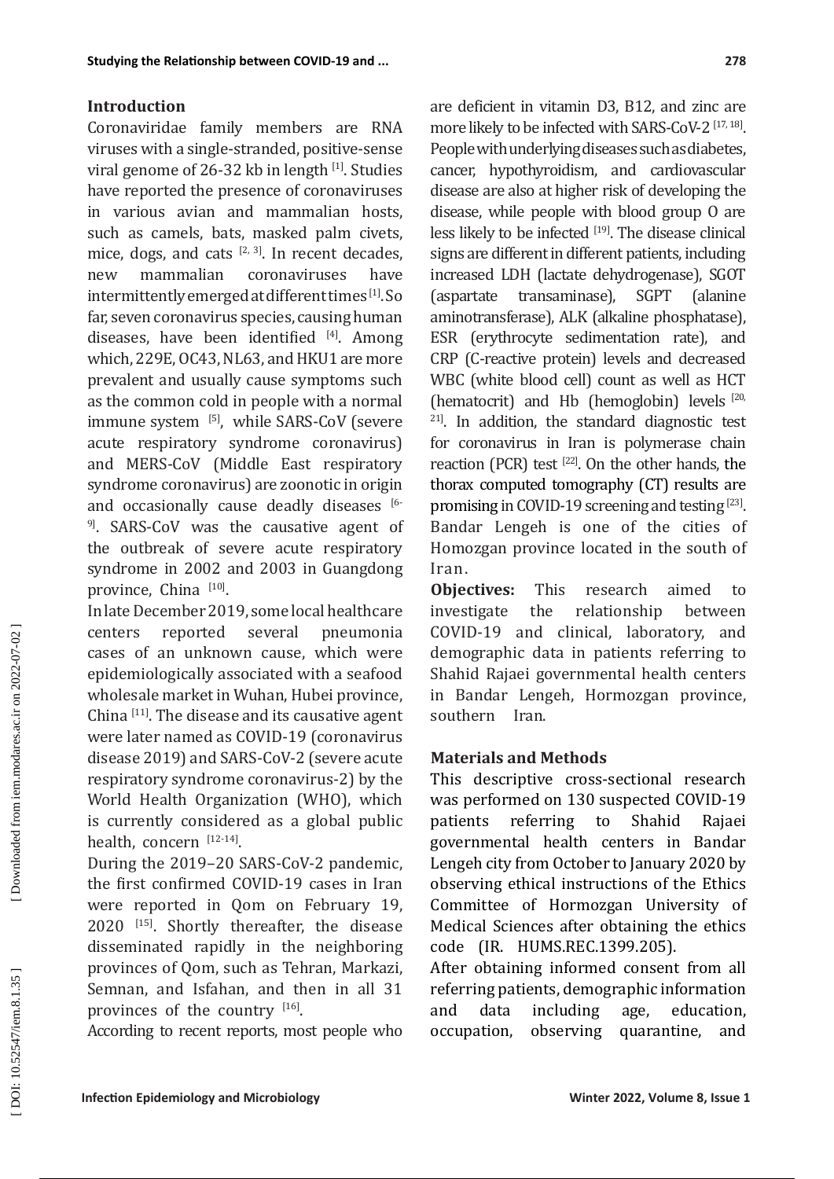## **Introduction**

Coronaviridae family members are RNA viruses with a single-stranded, positive-sense viral genome of 26-32 kb in length [1]. Studies have reported the presence of coronaviruses in various avian and mammalian hosts, such as camels, bats, masked palm civets, mice, dogs, and cats  $[2, 3]$ . In recent decades,<br>new mammalian coronaviruses have new mammalian coronaviruses have intermittently emerged at different times [1]. So far, seven coronavirus species, causing human diseases, have been identified  $[4]$ . Among which, 229E, OC43, NL63, and HKU1 are more prevalent and usually cause symptoms such as the common cold in people with a normal immune system [5], while SARS-CoV (severe acute respiratory syndrome coronavirus) and MERS-CoV (Middle East respiratory syndrome coronavirus) are zoonotic in origin and occasionally cause deadly diseases [6-<sup>9]</sup>. SARS-CoV was the causative agent of the outbreak of severe acute respiratory syndrome in 2002 and 2003 in Guangdong province, China <sup>[10]</sup>.

In late December 2019, some local healthcare centers reported several pneumonia cases of an unknown cause, which were epidemiologically associated with a seafood wholesale market in Wuhan, Hubei province, China [11]. The disease and its causative agent were later named as COVID-19 (coronavirus disease 2019) and SARS-CoV-2 (severe acute respiratory syndrome coronavirus-2) by the World Health Organization (WHO), which is currently considered as a global public health, concern [12-14].

During the 2019–20 SARS-CoV-2 pandemic, the first confirmed COVID-19 cases in Iran were reported in Qom on February 19, 2020<sup>[15]</sup>. Shortly thereafter, the disease disseminated rapidly in the neighboring provinces of Qom, such as Tehran, Markazi, Semnan, and Isfahan, and then in all 31 provinces of the country  $[16]$ .

According to recent reports, most people who

are deficient in vitamin D3, B12, and zinc are more likely to be infected with SARS-CoV-2 [17, 18]. People with underlying diseases such as diabetes, cancer, hypothyroidism, and cardiovascular disease are also at higher risk of developing the disease, while people with blood group O are less likely to be infected  $[19]$ . The disease clinical signs are different in different patients, including increased LDH (lactate dehydrogenase), SGOT (aspartate transaminase), SGPT (alanine aminotransferase), ALK (alkaline phosphatase), ESR (erythrocyte sedimentation rate), and CRP (C-reactive protein) levels and decreased WBC (white blood cell) count as well as HCT (hematocrit) and Hb (hemoglobin) levels [20, <sup>21]</sup>. In addition, the standard diagnostic test for coronavirus in Iran is polymerase chain reaction (PCR) test  $^{[22]}$ . On the other hands, the thorax computed tomography (CT) results are promising in COVID-19 screening and testing [23]. Bandar Lengeh is one of the cities of Homozgan province located in the south of Iran .

**Objectives:** This research aimed to investigate the relationship between investigate the relationship between COVID-19 and clinical, laboratory, and demographic data in patients referring to Shahid Rajaei governmental health centers in Bandar Lengeh, Hormozgan province, southern Iran.

## **Materials and Methods**

This descriptive cross-sectional research was performed on 130 suspected COVID-19<br>
patients referring to Shahid Rajaei referring to Shahid Rajaei governmental health centers in Bandar Lengeh city from October to January 2020 by observing ethical instructions of the Ethics Committee of Hormozgan University of Medical Sciences after obtaining the ethics code (IR. HUMS.REC.1399.205).

After obtaining informed consent from all referring patients, demographic information and data including age, education, occupation, observing quarantine, and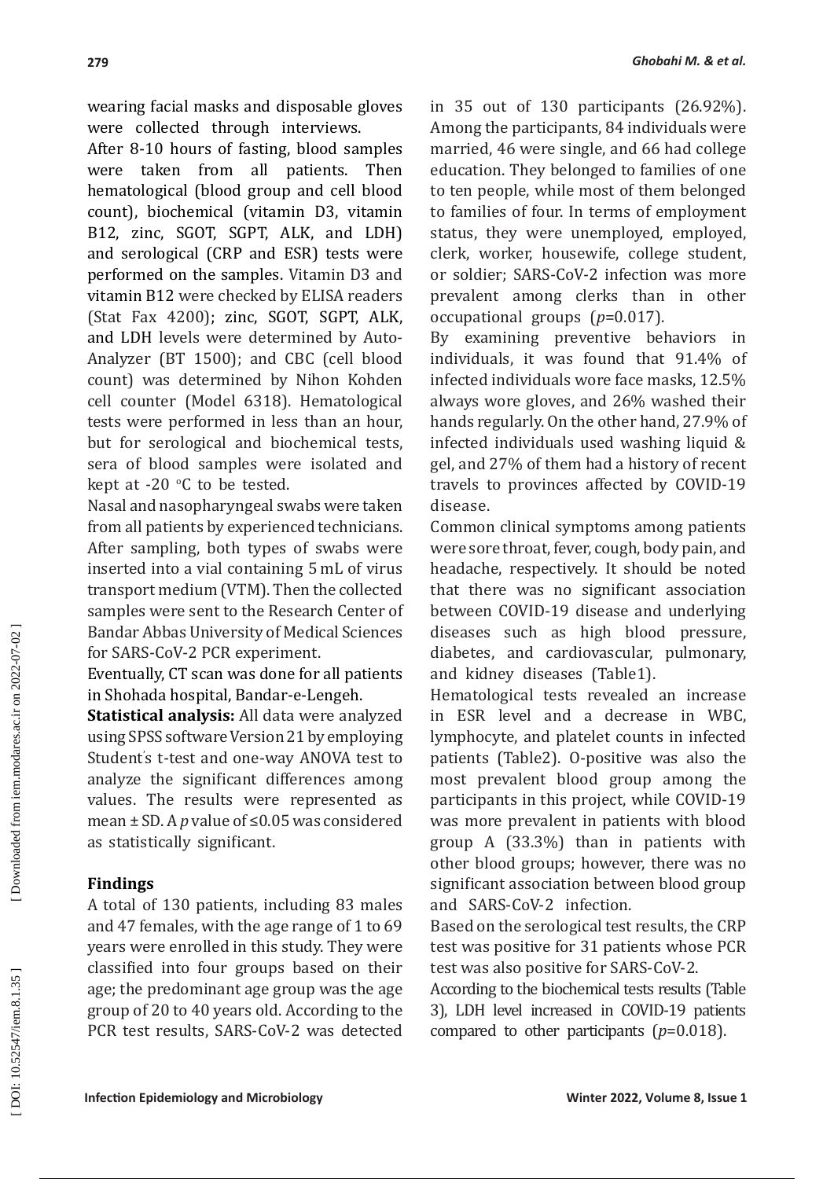wearing facial masks and disposable gloves were collected through interviews.

After 8-10 hours of fasting, blood samples were taken from all patients. Then hematological (blood group and cell blood count), biochemical (vitamin D3, vitamin B12, zinc, SGOT, SGPT, ALK, and LDH) and serological (CRP and ESR) tests were performed on the samples. Vitamin D3 and vitamin B12 were checked by ELISA readers (Stat Fax 4200); zinc, SGOT, SGPT, ALK, and LDH levels were determined by Auto-Analyzer (BT 1500); and CBC (cell blood count) was determined by Nihon Kohden cell counter (Model 6318). Hematological tests were performed in less than an hour, but for serological and biochemical tests, sera of blood samples were isolated and kept at -20  $\degree$ C to be tested.

Nasal and nasopharyngeal swabs were taken from all patients by experienced technicians. After sampling, both types of swabs were inserted into a vial containing 5 mL of virus transport medium (VTM). Then the collected samples were sent to the Research Center of Bandar Abbas University of Medical Sciences for SARS-CoV-2 PCR experiment.

Eventually, CT scan was done for all patients in Shohada hospital, Bandar-e-Lengeh.

**Statistical analysis:** All data were analyzed using SPSS software Version 21 by employing Student ' s t-test and one-way ANOVA test to analyze the significant differences among values. The results were represented as mean ± SD. A *p* value of ≤0.05 was considered as statistically significant.

## **Findings**

A total of 130 patients, including 83 males and 47 females, with the age range of 1 to 69 years were enrolled in this study. They were classified into four groups based on their age; the predominant age group was the age group of 20 to 40 years old. According to the PCR test results, SARS-CoV-2 was detected in 35 out of 130 participants (26.92%). Among the participants, 84 individuals were married, 46 were single, and 66 had college education. They belonged to families of one to ten people, while most of them belonged to families of four. In terms of employment status, they were unemployed, employed, clerk, worker, housewife, college student, or soldier; SARS-CoV-2 infection was more prevalent among clerks than in other occupational groups ( *p*=0.017).

By examining preventive behaviors in individuals, it was found that 91.4% of infected individuals wore face masks, 12.5% always wore gloves, and 26% washed their hands regularly. On the other hand, 27.9% of infected individuals used washing liquid & gel, and 27% of them had a history of recent travels to provinces affected by COVID-19 disease.

Common clinical symptoms among patients were sore throat, fever, cough, body pain, and headache, respectively. It should be noted that there was no significant association between COVID-19 disease and underlying diseases such as high blood pressure, diabetes, and cardiovascular, pulmonary, and kidney diseases (Table1).

Hematological tests revealed an increase in ESR level and a decrease in WBC, lymphocyte, and platelet counts in infected patients (Table2). O-positive was also the most prevalent blood group among the participants in this project, while COVID-19 was more prevalent in patients with blood group A (33.3%) than in patients with other blood groups; however, there was no significant association between blood group and SARS-CoV-2 infection.

Based on the serological test results, the CRP test was positive for 31 patients whose PCR test was also positive for SARS-CoV-2.

According to the biochemical tests results (Table 3), LDH level increased in COVID-19 patients compared to other participants ( *p*=0.018).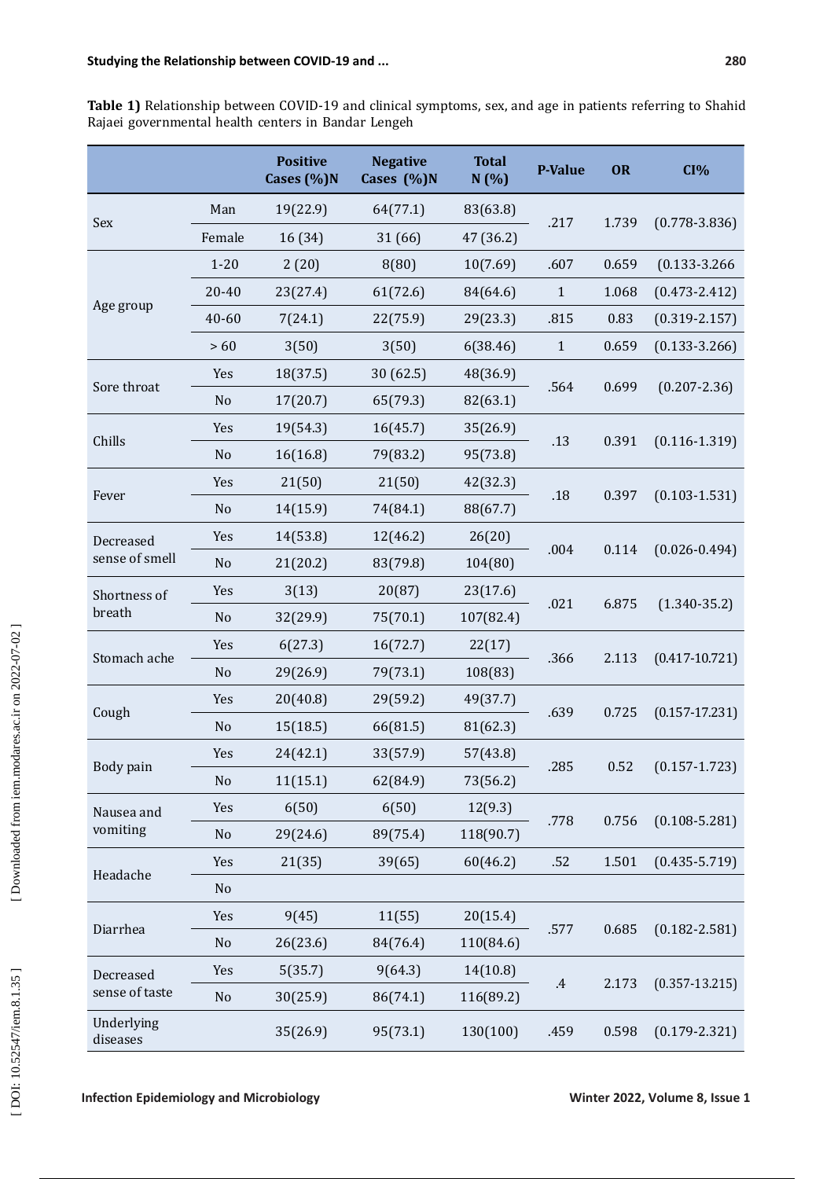**Table 1)** Relationship between COVID-19 and clinical symptoms, sex, and age in patients referring to Shahid Rajaei governmental health centers in Bandar Lengeh

|                             |                | <b>Positive</b><br>Cases (%)N | <b>Negative</b><br>Cases (%)N | <b>Total</b><br>N(%) | P-Value         | OR    | CI%                |
|-----------------------------|----------------|-------------------------------|-------------------------------|----------------------|-----------------|-------|--------------------|
| Sex                         | Man            | 19(22.9)                      | 64(77.1)                      | 83(63.8)             | .217            | 1.739 | $(0.778 - 3.836)$  |
|                             | Female         | 16 (34)                       | 31 (66)                       | 47 (36.2)            |                 |       |                    |
| Age group                   | $1 - 20$       | 2(20)                         | 8(80)                         | 10(7.69)             | .607            | 0.659 | $(0.133 - 3.266)$  |
|                             | 20-40          | 23(27.4)                      | 61(72.6)                      | 84(64.6)             | $\mathbf 1$     | 1.068 | $(0.473 - 2.412)$  |
|                             | 40-60          | 7(24.1)                       | 22(75.9)                      | 29(23.3)             | .815            | 0.83  | $(0.319 - 2.157)$  |
|                             | >60            | 3(50)                         | 3(50)                         | 6(38.46)             | $\mathbf{1}$    | 0.659 | $(0.133 - 3.266)$  |
| Sore throat                 | Yes            | 18(37.5)                      | 30 (62.5)                     | 48(36.9)             |                 | 0.699 | $(0.207 - 2.36)$   |
|                             | N <sub>o</sub> | 17(20.7)                      | 65(79.3)                      | 82(63.1)             | .564            |       |                    |
| Chills                      | Yes            | 19(54.3)                      | 16(45.7)                      | 35(26.9)             |                 | 0.391 | $(0.116 - 1.319)$  |
|                             | N <sub>o</sub> | 16(16.8)                      | 79(83.2)                      | 95(73.8)             | .13             |       |                    |
|                             | Yes            | 21(50)                        | 21(50)                        | 42(32.3)             |                 | 0.397 | $(0.103 - 1.531)$  |
| Fever                       | No             | 14(15.9)                      | 74(84.1)                      | 88(67.7)             | .18             |       |                    |
| Decreased                   | Yes            | 14(53.8)                      | 12(46.2)                      | 26(20)               |                 | 0.114 | $(0.026 - 0.494)$  |
| sense of smell              | N <sub>o</sub> | 21(20.2)                      | 83(79.8)                      | 104(80)              | .004            |       |                    |
| Shortness of                | Yes            | 3(13)                         | 20(87)                        | 23(17.6)             |                 | 6.875 | $(1.340 - 35.2)$   |
| breath                      | No             | 32(29.9)                      | 75(70.1)                      | 107(82.4)            | .021            |       |                    |
|                             | Yes            | 6(27.3)                       | 16(72.7)                      | 22(17)               |                 | 2.113 | $(0.417 - 10.721)$ |
| Stomach ache                | No             | 29(26.9)                      | 79(73.1)                      | 108(83)              | .366            |       |                    |
| Cough                       | Yes            | 20(40.8)                      | 29(59.2)                      | 49(37.7)             |                 | 0.725 | $(0.157 - 17.231)$ |
|                             | No             | 15(18.5)                      | 66(81.5)                      | 81(62.3)             | .639            |       |                    |
|                             | Yes            | 24(42.1)                      | 33(57.9)                      | 57(43.8)             |                 | 0.52  | $(0.157 - 1.723)$  |
| Body pain                   | No             | 11(15.1)                      | 62(84.9)                      | 73(56.2)             | .285            |       |                    |
| Nausea and<br>vomiting      | Yes            | 6(50)                         | 6(50)                         | 12(9.3)              |                 | 0.756 | $(0.108 - 5.281)$  |
|                             | No             | 29(24.6)                      | 89(75.4)                      | 118(90.7)            | .778            |       |                    |
| Headache                    | Yes            | 21(35)                        | 39(65)                        | 60(46.2)             | .52             | 1.501 | $(0.435 - 5.719)$  |
|                             | No             |                               |                               |                      |                 |       |                    |
| Diarrhea                    | Yes            | 9(45)                         | 11(55)                        | 20(15.4)             |                 | 0.685 | $(0.182 - 2.581)$  |
|                             | N <sub>o</sub> | 26(23.6)                      | 84(76.4)                      | 110(84.6)            | .577            |       |                    |
| Decreased<br>sense of taste | Yes            | 5(35.7)                       | 9(64.3)                       | 14(10.8)             |                 | 2.173 | $(0.357 - 13.215)$ |
|                             | No             | 30(25.9)                      | 86(74.1)                      | 116(89.2)            | $.4\phantom{0}$ |       |                    |
| Underlying<br>diseases      |                | 35(26.9)                      | 95(73.1)                      | 130(100)             | .459            | 0.598 | $(0.179 - 2.321)$  |

[Downloaded from iem.modares.ac.ir on 2022-07-02]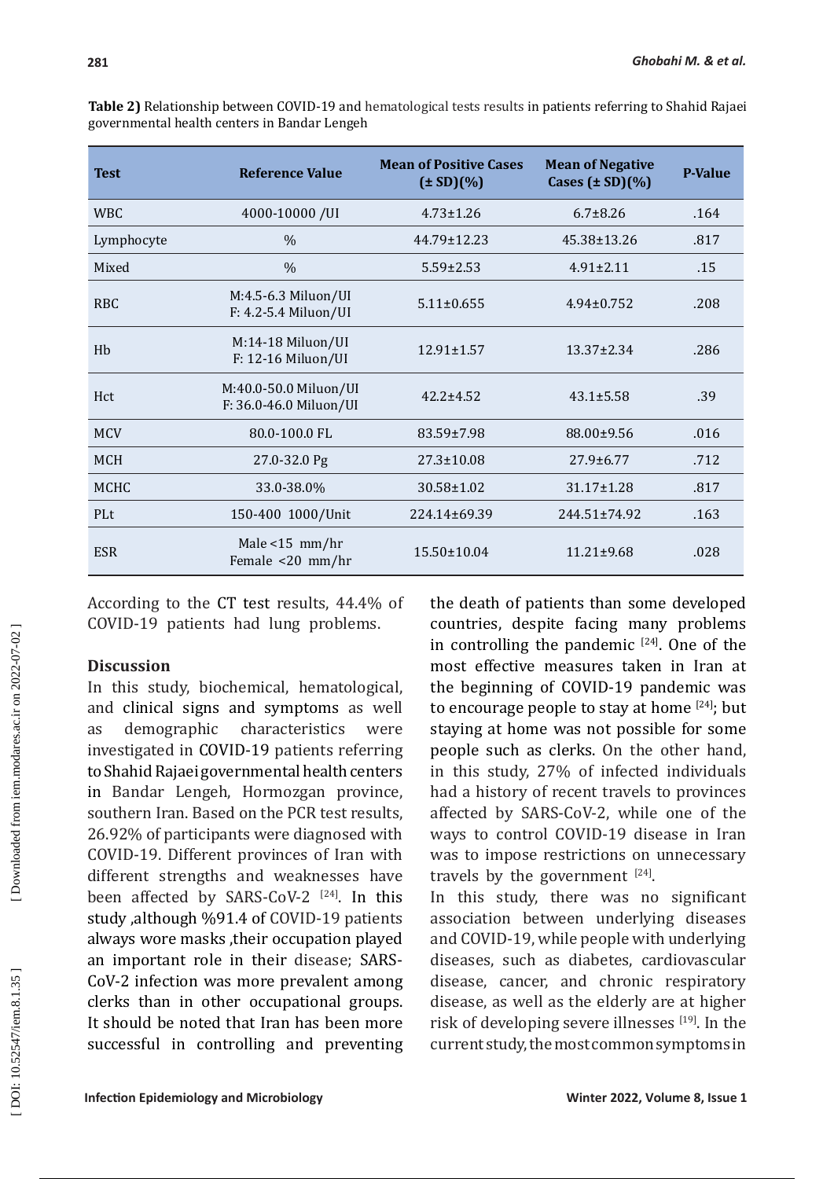| <b>Test</b>     | <b>Reference Value</b>                          | <b>Mean of Positive Cases</b><br>$(\pm SD)(\%)$ | <b>Mean of Negative</b><br>Cases $(\pm SD)(\%)$ | <b>P-Value</b> |
|-----------------|-------------------------------------------------|-------------------------------------------------|-------------------------------------------------|----------------|
| <b>WBC</b>      | 4000-10000 /UI                                  | $4.73 \pm 1.26$                                 | $6.7 + 8.26$                                    | .164           |
| Lymphocyte      | $\%$                                            | $44.79 \pm 12.23$                               | $45.38 \pm 13.26$                               | .817           |
| Mixed           | $\%$                                            | $5.59 \pm 2.53$                                 | $4.91 + 2.11$                                   | .15            |
| R <sub>BC</sub> | M:4.5-6.3 Miluon/UI<br>F: 4.2-5.4 Miluon/UI     | $5.11 \pm 0.655$                                | $4.94 \pm 0.752$                                | .208           |
| H <sub>b</sub>  | M:14-18 Miluon/UI<br>F: 12-16 Miluon/UI         | 12.91±1.57                                      | $13.37 \pm 2.34$                                | .286           |
| Hct             | M:40.0-50.0 Miluon/UI<br>F: 36.0-46.0 Miluon/UI | $42.2 \pm 4.52$                                 | $43.1 \pm 5.58$                                 | .39            |
| <b>MCV</b>      | 80.0-100.0 FL                                   | 83.59±7.98                                      | 88.00±9.56                                      | .016           |
| <b>MCH</b>      | 27.0-32.0 Pg                                    | $27.3 \pm 10.08$                                | $27.9 \pm 6.77$                                 | .712           |
| <b>MCHC</b>     | 33.0-38.0%                                      | $30.58 \pm 1.02$                                | $31.17 \pm 1.28$                                | .817           |
| PLt             | 150-400 1000/Unit                               | 224.14±69.39                                    | $244.51 \pm 74.92$                              | .163           |
| <b>ESR</b>      | Male $<$ 15 mm/hr<br>Female <20 mm/hr           | $15.50 \pm 10.04$                               | $11.21 \pm 9.68$                                | .028           |

**Table 2)** Relationship between COVID-19 and hematological tests results in patients referring to Shahid Rajaei governmental health centers in Bandar Lengeh

According to the CT test results, 44.4% of COVID-19 patients had lung problems.

## **Discussion**

In this study, biochemical, hematological, and clinical signs and symptoms as well as demographic characteristics were investigated in COVID-19 patients referring toShahid Rajaei governmental health centers in Bandar Lengeh, Hormozgan province, southern Iran. Based on the PCR test results, 26.92% of participants were diagnosed with COVID-19. Different provinces of Iran with different strengths and weaknesses have been affected by SARS-CoV-2  $^{[24]}$ . In this study ,although %91.4 of COVID-19 patients always wore masks ,their occupation played an important role in their disease; SARS-CoV-2 infection was more prevalent among clerks than in other occupational groups. It should be noted that Iran has been more successful in controlling and preventing

the death of patients than some developed countries, despite facing many problems in controlling the pandemic  $[24]$ . One of the most effective measures taken in Iran at the beginning of COVID-19 pandemic was to encourage people to stay at home  $[24]$ ; but staying at home was not possible for some people such as clerks. On the other hand, in this study, 27% of infected individuals had a history of recent travels to provinces affected by SARS-CoV-2, while one of the ways to control COVID-19 disease in Iran was to impose restrictions on unnecessary travels by the government  $[24]$ .

In this study, there was no significant association between underlying diseases and COVID-19, while people with underlying diseases, such as diabetes, cardiovascular disease, cancer, and chronic respiratory disease, as well as the elderly are at higher risk of developing severe illnesses [19]. In the current study, the most common symptoms in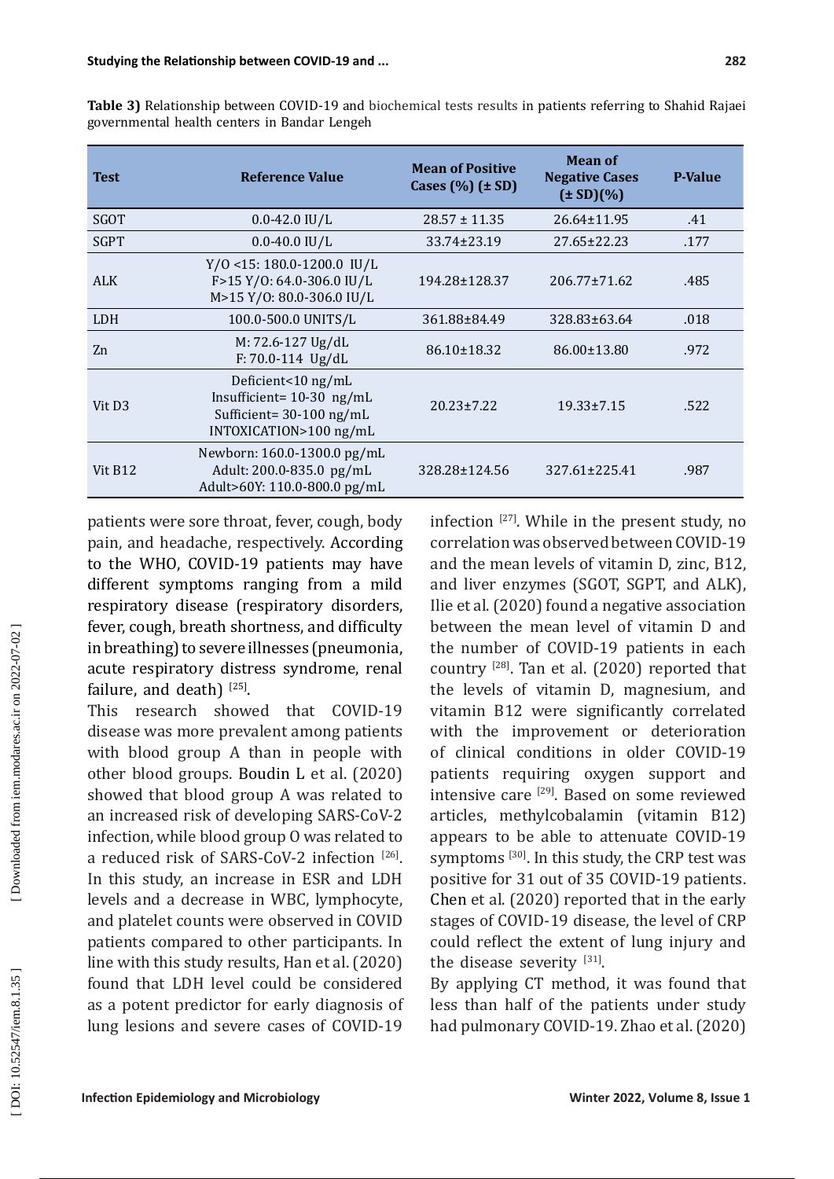| <b>Test</b>         | <b>Reference Value</b>                                                                                    | <b>Mean of Positive</b><br>Cases $(\%)$ ( $\pm$ SD) | <b>Mean of</b><br><b>Negative Cases</b><br>$(\pm SD)(\%)$ | <b>P-Value</b> |
|---------------------|-----------------------------------------------------------------------------------------------------------|-----------------------------------------------------|-----------------------------------------------------------|----------------|
| SGOT                | $0.0 - 42.0$ IU/L                                                                                         | $28.57 \pm 11.35$                                   | $26.64 \pm 11.95$                                         | .41            |
| <b>SGPT</b>         | $0.0 - 40.0$ IU/L                                                                                         | 33.74±23.19                                         | $27.65 \pm 22.23$                                         | .177           |
| <b>ALK</b>          | $Y/0$ <15: 180.0-1200.0 IU/L<br>F>15 Y/0: 64.0-306.0 IU/L<br>M>15 Y/0: 80.0-306.0 IU/L                    | 194.28±128.37                                       | 206.77±71.62                                              | .485           |
| <b>LDH</b>          | 100.0-500.0 UNITS/L                                                                                       | 361.88±84.49                                        | 328.83±63.64                                              | .018           |
| Zn                  | M: 72.6-127 Ug/dL<br>$F: 70.0 - 114$ Ug/dL                                                                | 86.10±18.32                                         | 86.00±13.80                                               | .972           |
| Vit D <sub>3</sub>  | Deficient<10 ng/mL<br>Insufficient= $10-30$ ng/mL<br>Sufficient= $30-100$ ng/mL<br>INTOXICATION>100 ng/mL | $20.23 \pm 7.22$                                    | $19.33 \pm 7.15$                                          | .522           |
| Vit B <sub>12</sub> | Newborn: 160.0-1300.0 pg/mL<br>Adult: 200.0-835.0 pg/mL<br>Adult>60Y: 110.0-800.0 pg/mL                   | 328.28±124.56                                       | 327.61±225.41                                             | .987           |

**Table 3)** Relationship between COVID-19 and biochemical tests results in patients referring to Shahid Rajaei governmental health centers in Bandar Lengeh

patients were sore throat, fever, cough, body pain, and headache, respectively. According to the WHO, COVID-19 patients may have different symptoms ranging from a mild respiratory disease (respiratory disorders, fever, cough, breath shortness, and difficulty in breathing) to severe illnesses (pneumonia, acute respiratory distress syndrome, renal failure, and death)  $[25]$ .

This research showed that COVID-19 disease was more prevalent among patients with blood group A than in people with other blood groups. Boudin L et al. (2020) showed that blood group A was related to an increased risk of developing SARS-CoV-2 infection, while blood group O was related to a reduced risk of SARS-CoV-2 infection [26]. In this study, an increase in ESR and LDH levels and a decrease in WBC, lymphocyte, and platelet counts were observed in COVID patients compared to other participants. In line with this study results, Han et al. (2020) found that LDH level could be considered as a potent predictor for early diagnosis of lung lesions and severe cases of COVID-19 infection [27] . While in the present study, no correlation was observed between COVID-19 and the mean levels of vitamin D, zinc, B12, and liver enzymes (SGOT, SGPT, and ALK), Ilie et al. (2020) found a negative association between the mean level of vitamin D and the number of COVID-19 patients in each country [28]. Tan et al. (2020) reported that the levels of vitamin D, magnesium, and vitamin B12 were significantly correlated with the improvement or deterioration of clinical conditions in older COVID-19 patients requiring oxygen support and intensive care [29]. Based on some reviewed articles, methylcobalamin (vitamin B12) appears to be able to attenuate COVID-19 symptoms <sup>[30]</sup>. In this study, the CRP test was positive for 31 out of 35 COVID-19 patients. Chen et al. (2020) reported that in the early stages of COVID-19 disease, the level of CRP could reflect the extent of lung injury and the disease severity [31].

By applying CT method, it was found that less than half of the patients under study had pulmonary COVID-19. Zhao et al. (2020)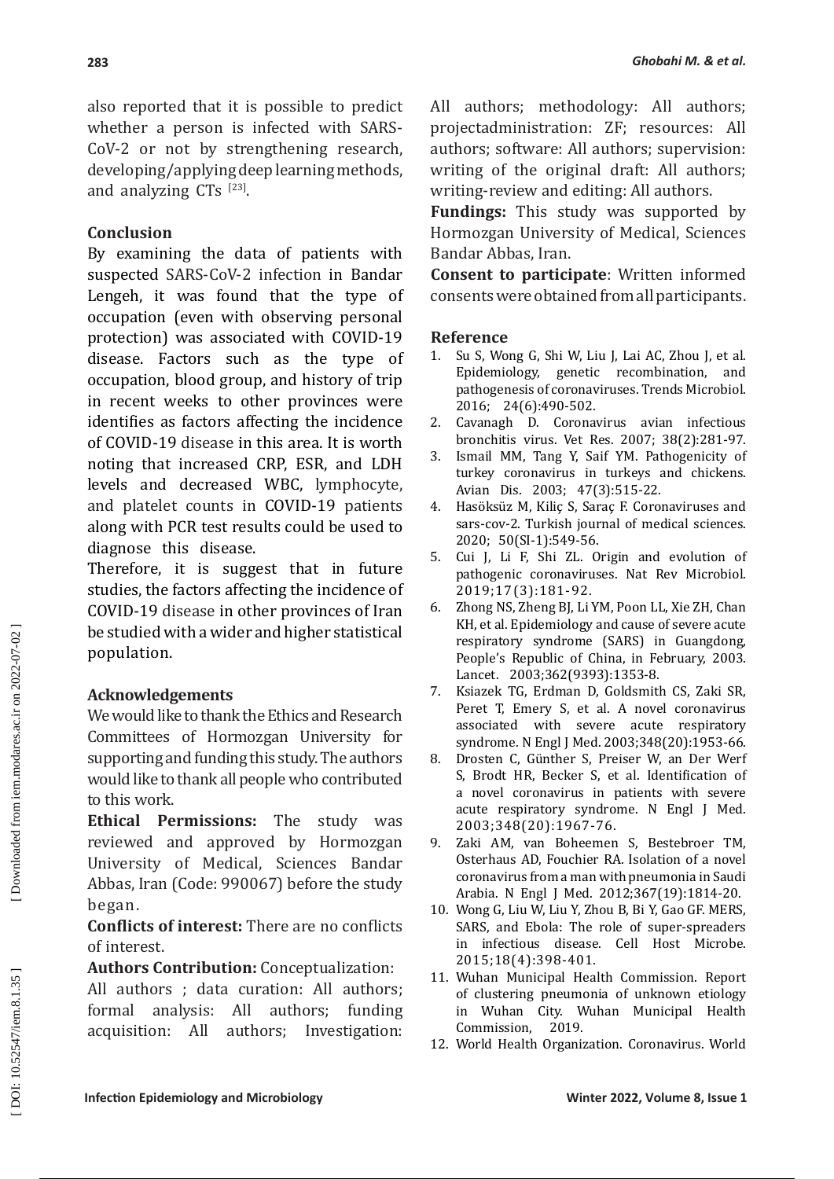also reported that it is possible to predict whether a person is infected with SARS-CoV-2 or not by strengthening research, developing/applying deep learning methods, and analyzing  $CTs$   $^{[23]}$ .

## **Conclusion**

By examining the data of patients with suspected SARS-CoV-2 infection in Bandar Lengeh, it was found that the type of occupation (even with observing personal protection) was associated with COVID-19 disease. Factors such as the type of occupation, blood group, and history of trip in recent weeks to other provinces were identifies as factors affecting the incidence of COVID-19 disease in this area. It is worth noting that increased CRP, ESR, and LDH levels and decreased WBC, lymphocyte, and platelet counts in COVID-19 patients along with PCR test results could be used to diagnose this disease.

Therefore, it is suggest that in future studies, the factors affecting the incidence of COVID-19 disease in other provinces of Iran be studied with a wider and higher statistical population.

## **Acknowledgements**

We would like to thank the Ethics and Research Committees of Hormozgan University for supporting and funding this study. The authors would like to thank all people who contributed to this work.

**Ethical Permissions:** The study was reviewed and approved by Hormozgan University of Medical, Sciences Bandar Abbas, Iran (Code: 990067) before the study began.

**Conflicts of interest:** There are no conflicts of interest.

**Authors Contribution:** Conceptualization: All authors ; data curation: All authors; formal analysis: All authors; funding acquisition: All authors; Investigation: All authors; methodology: All authors; projectadministration: ZF; resources: All authors; software: All authors; supervision: writing of the original draft: All authors; writing-review and editing: All authors.

**Fundings:** This study was supported by Hormozgan University of Medical, Sciences Bandar Abbas, Iran.

**Consent to participate**: Written informed consents were obtained from all participants.

## **Reference**

- 1. Su S, Wong G, Shi W, Liu J, Lai AC, Zhou J, et al. Epidemiology, genetic recombination, and pathogenesis of coronaviruses. Trends Microbiol. 2016; 24(6):490-502.
- 2. Cavanagh D. Coronavirus avian infectious bronchitis virus. Vet Res. 2007; 38(2):281-97.
- 3. Ismail MM, Tang Y, Saif YM. Pathogenicity of turkey coronavirus in turkeys and chickens. Avian Dis. 2003; 47(3):515-22.
- 4. Hasöksüz M, Kiliç S, Saraç F. Coronaviruses and sars-cov-2. Turkish journal of medical sciences. 2020; 50(SI-1):549-56.
- 5. Cui J, Li F, Shi ZL. Origin and evolution of pathogenic coronaviruses. Nat Rev Microbiol. 2019;17(3):181-92.
- 6. Zhong NS, Zheng BJ, Li YM, Poon LL, Xie ZH, Chan KH, et al. Epidemiology and cause of severe acute respiratory syndrome (SARS) in Guangdong, People's Republic of China, in February, 2003. Lancet. 2003;362(9393):1353-8.
- 7. Ksiazek TG, Erdman D, Goldsmith CS, Zaki SR, Peret T, Emery S, et al. A novel coronavirus associated with severe acute respiratory syndrome. N Engl J Med. 2003;348(20):1953-66.
- 8. Drosten C, Günther S, Preiser W, an Der Werf S, Brodt HR, Becker S, et al. Identification of a novel coronavirus in patients with severe acute respiratory syndrome. N Engl J Med. 2003;348(20):1967-76.
- 9. Zaki AM, van Boheemen S, Bestebroer TM, Osterhaus AD, Fouchier RA. Isolation of a novel coronavirus from a man with pneumonia in Saudi Arabia. N Engl J Med. 2012;367(19):1814-20.
- 10. Wong G, Liu W, Liu Y, Zhou B, Bi Y, Gao GF. MERS, SARS, and Ebola: The role of super-spreaders in infectious disease. Cell Host Microbe. 2015;18(4):398-401.
- 11. Wuhan Municipal Health Commission. Report of clustering pneumonia of unknown etiology in Wuhan City. Wuhan Municipal Health Commission, 2019.
- 12. World Health Organization. Coronavirus. World